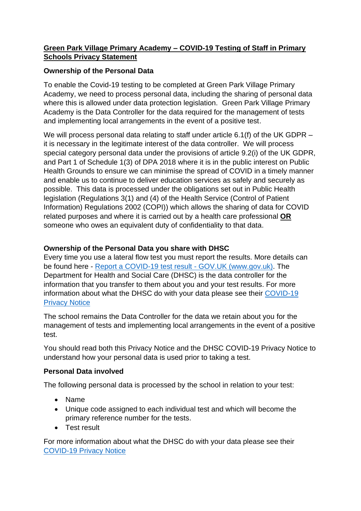# **Green Park Village Primary Academy – COVID-19 Testing of Staff in Primary Schools Privacy Statement**

# **Ownership of the Personal Data**

To enable the Covid-19 testing to be completed at Green Park Village Primary Academy, we need to process personal data, including the sharing of personal data where this is allowed under data protection legislation. Green Park Village Primary Academy is the Data Controller for the data required for the management of tests and implementing local arrangements in the event of a positive test.

We will process personal data relating to staff under article 6.1(f) of the UK GDPR – it is necessary in the legitimate interest of the data controller. We will process special category personal data under the provisions of article 9.2(i) of the UK GDPR, and Part 1 of Schedule 1(3) of DPA 2018 where it is in the public interest on Public Health Grounds to ensure we can minimise the spread of COVID in a timely manner and enable us to continue to deliver education services as safely and securely as possible. This data is processed under the obligations set out in Public Health legislation (Regulations 3(1) and (4) of the Health Service (Control of Patient Information) Regulations 2002 (COPI)) which allows the sharing of data for COVID related purposes and where it is carried out by a health care professional **OR** someone who owes an equivalent duty of confidentiality to that data.

## **Ownership of the Personal Data you share with DHSC**

Every time you use a lateral flow test you must report the results. More details can be found here - [Report a COVID-19 test result -](https://www.gov.uk/report-covid19-result) GOV.UK (www.gov.uk). The Department for Health and Social Care (DHSC) is the data controller for the information that you transfer to them about you and your test results. For more information about what the DHSC do with your data please see their [COVID-19](https://www.gov.uk/government/publications/coronavirus-covid-19-testing-privacy-information)  [Privacy Notice](https://www.gov.uk/government/publications/coronavirus-covid-19-testing-privacy-information)

The school remains the Data Controller for the data we retain about you for the management of tests and implementing local arrangements in the event of a positive test.

You should read both this Privacy Notice and the DHSC COVID-19 Privacy Notice to understand how your personal data is used prior to taking a test.

## **Personal Data involved**

The following personal data is processed by the school in relation to your test:

- Name
- Unique code assigned to each individual test and which will become the primary reference number for the tests.
- Test result

For more information about what the DHSC do with your data please see their [COVID-19 Privacy Notice](https://www.gov.uk/government/publications/coronavirus-covid-19-testing-privacy-information)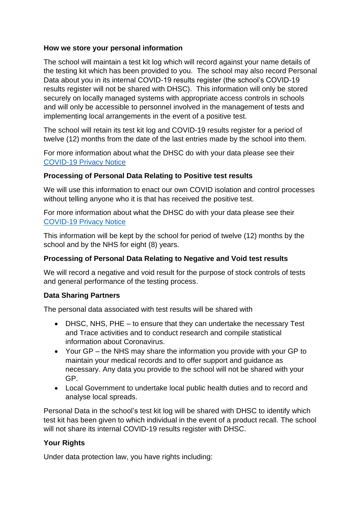### **How we store your personal information**

The school will maintain a test kit log which will record against your name details of the testing kit which has been provided to you. The school may also record Personal Data about you in its internal COVID-19 results register (the school's COVID-19 results register will not be shared with DHSC). This information will only be stored securely on locally managed systems with appropriate access controls in schools and will only be accessible to personnel involved in the management of tests and implementing local arrangements in the event of a positive test.

The school will retain its test kit log and COVID-19 results register for a period of twelve (12) months from the date of the last entries made by the school into them.

For more information about what the DHSC do with your data please see their [COVID-19 Privacy Notice](https://www.gov.uk/government/publications/coronavirus-covid-19-testing-privacy-information)

#### **Processing of Personal Data Relating to Positive test results**

We will use this information to enact our own COVID isolation and control processes without telling anyone who it is that has received the positive test.

For more information about what the DHSC do with your data please see their [COVID-19 Privacy Notice](https://www.gov.uk/government/publications/coronavirus-covid-19-testing-privacy-information)

This information will be kept by the school for period of twelve (12) months by the school and by the NHS for eight (8) years.

## **Processing of Personal Data Relating to Negative and Void test results**

We will record a negative and void result for the purpose of stock controls of tests and general performance of the testing process.

## **Data Sharing Partners**

The personal data associated with test results will be shared with

- DHSC, NHS, PHE to ensure that they can undertake the necessary Test and Trace activities and to conduct research and compile statistical information about Coronavirus.
- Your GP the NHS may share the information you provide with your GP to maintain your medical records and to offer support and guidance as necessary. Any data you provide to the school will not be shared with your GP.
- Local Government to undertake local public health duties and to record and analyse local spreads.

Personal Data in the school's test kit log will be shared with DHSC to identify which test kit has been given to which individual in the event of a product recall. The school will not share its internal COVID-19 results register with DHSC.

## **Your Rights**

Under data protection law, you have rights including: